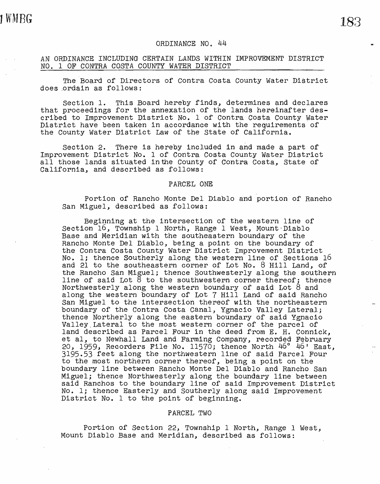## ORDINANCE NO. 44

# AN ORDINANCE INCLUDING CERTAIN LANDS WITHIN IMPROVEMENT DISTRICT NO. 1 OF CONTRA COSTA COUNTY WATER DISTRICT

The Board of Directors of Contra Costa County Water District does ordain as follows:

Section 1. This Board hereby finds, determines and declares that proceedings for the annexation of the lands hereinafter described to Improvement District No. 1 of Contra Costa County Water District have been taken in accordance with the requirements of the County Water District Law of the State of California.

Section 2. There is hereby included in and made a part of Improvement District No. 1 of Contra Costa County Water District all those lands situated inthe County of Contra Costa, State of California, and described as follows:

### PARCEL ONE

Portion of Rancho Monte Del Diablo and portion of Rancho San Miguel, described as follows:

Beginning at the intersection of the western line of Section 16, Township 1 North, Range 1 West, Mount Diablo Base and Meridian with the southeastern boundary of the Rancho Monte Del Diablo, being a point on the boundary of the Contra Costa County Water District Improvement District No. l; thence Southerly along the western line of Sections 16 and 21 to the southeastern corner of Lot No. 8 Hill Land, of the Rancho San Miguel; thence southwesterly along the southern line of said Lot 8 to the southwestern corner thereof; thence Northwesterly along the western boundary of said Lot 8 and along the western boundary of Lot 7 Hill Land of said Rancho San Miguel to the intersection thereof with the northeastern boundary of the Contra Costa canal, Ygnacio Valley Lateral; thence Northerly along the eastern boundary of said Ygnacio Valley Lateral to the most western corner of the parcel of land described as Parcel Four in the deed from E. H. Connick, et al, to Newhall Land and Farming Company, recorded February<br>20, 1959, Recorders File No. 11570; thence North 46° 46' East. 3195.53 feet along the northwestern line of said Parcel Four to the most northern corner thereof, being a point on the boundary line between Rancho Monte Del Diablo and Rancho San Miguel; thence Northwesterly along the boundary line between said Ranchos to the boundary line of said Improvement District No. l; thence Easterly and Southerly along said Improvement District No. 1 to the point of beginning.

## PARCEL TWO

Portion of Section 22, Township 1 North, Range 1 West, Mount Diablo Base and Meridian, described as follows: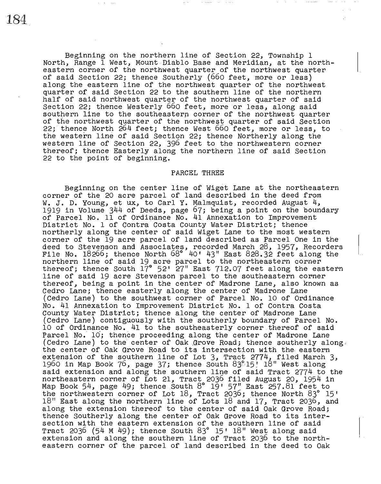Beginning on the northern line of Section 22, Township 1 North, Range 1 West, Mount Diablo Base and Meridian, at the northeastern corner of the northwest quarter of the northwest quarter of said Section 22; thence Southerly (660 feet, more or less) along the eastern line of the northwest quarter of the northwest quarter of said Section 22 to the southern line of the northern half of said northwest quarter of the northwest quarter of said Section 22; thence Westerly 660 feet, more or less, along said<br>southern line to the southeastern corner of the northwest quarter of the northwest quarter of the northwest quarter of said Section 22;' thence North 264 feet; thence West 660 feet, more or less, to the western line of said Section 22; thence Northerly along the western line of Section 22, 396 feet to the northwestern corner thereof; thence Easterly along the northern line of said Section 22 to the point of beginning.

#### PARCEL THREE

Beginning on the center line of Wiget Lane at the northeastern corner of the 20 acre parcel of land described in the deed from vorner of the go acre parter of fand decertion in the decasion. 1919 in Volume 344 of Deeds, page 67; being a point on the boundary of Parcel No. 11 of Ordinance No. 41 Annexation to Improvement<br>District No. 1 of Contra Costa County Water District; thence northerly along the center of said Wiget Lane to the most western corner of the 19 acre parcel of land described as Parcel One in the deed to Stevenson and Associates, recorded March 28, 1957, Recorders File No. 18266; thence North 68° 40' 43" East 828.32 feet along the northern line of said 19 acre parcel to the northeastern corner thereof; thence South 17° 52' 27" East 712.07 feet along the eastern line of said 19 acre Stevenson parcel to the southeastern corner thereof, being a point in the center of Madrone Lane, also known as Cedro Lane; thence easterly along the center of Madrone Lane (Cedro Lane) to the southwest corner of Parcel No. 10 of Ordinance No. 41 Annexation to Improvement District No. 1 of Contra Costa County Water District; thence along the center of Madrone Lane (Cedro Lane) contiguously with the southerly boundary of Parcel No. 10 of Ordinance No. 41 to the southeasterly corner.thereof of said Parcel No. 10; thence proceeding along the center of Madrone Lane (Cedro Lane) to the center of Oak Grove Road; thence southerly along. the center of Oak Grove Road to its intersection with the. eastern extension of the southern line of Lot  $3$ , Tract 2774, filed March  $3$ , 1960 in Map Book 76, page 37; thence South 83°15! 18" West along said extension and along the southern line of said Tract 2774 to the northeastern corner of Lot 21, Tract 2036 filed August 20, 1954 in mordings of the corner of the control of the corner of the magaze to, it, it the northwestern corner of Lot 18, Tract 2036; thence North 83° 15' 18" East along the northern line of Lots 18 and 17, Tract 2036, and along the extension thereof to the center of said Oak Grove Road; thence southerly along the center of Oak Grove Road to its intersection with the eastern extension of the southern line of said Tract 2036 (54 M 49); thence South  $83^{\circ}$  15' 18" West along said extension and along the southern line of Tract 2036 to the northeastern corner of the parcel of land described in the deed to Oak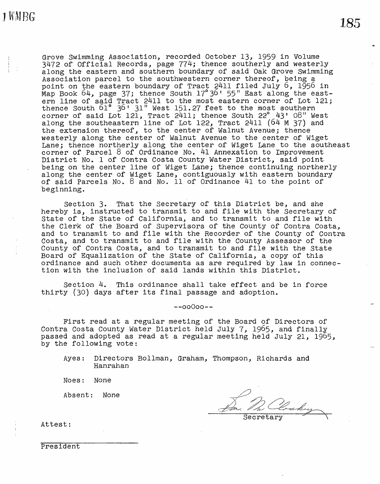Grove Swimming Association, recorded October 13, 1959 in Volume 3472 of Official Records, page 774; thence southerly and westerly along the eastern and southern boundary of said Oak Grove Swimming Association parcel to the southwestern corner thereof, being a point on the eastern boundary of Tract 2411 filed July 6, 1956 in point on the eastern seamada, of there is 1994 had east-<br>Map Book 64, page 37; thence South 17°36' 55" East along the eastern line of said Tract 2411 to the most eastern corner of Lot 121; thence south 61 ° 36' 31" West 151. 27 feet to the most southern corner of said Lot 121, Tract  $2411$ ; thence South  $22^\circ$   $43'$  08" West along the southeastern line of Lot 122, Tract 2411 (64 M 37) and the extension thereof, to the center of Walnut Avenue; thence westerly along the center of Walnut Avenue to the center of Wiget Lane; thence northerly along the center of Wiget Lane to the southeast corner of Parcel 8 of Ordinance No. 41 Annexation to Improvement District No. 1 of Contra Costa County Water District, said point. being on the center line of Wiget Lane; thence continuing northerly along the center of Wiget Lane, contiguously with eastern boundary of said Parcels No. 8 and No. 11 of Ordinance 41 to the point of beginning.

Section 3. That the Secretary of this District be, and she hereby is, instructed to transmit to and file with the Secretary of State of the State of California, and to transmit to and file with the Clerk of the Board of Supervisors of the County of Contra Costa, and to transmit to and file with the Recorder of the County of Contra Costa, and to transmit to and file with the County Assessor of the County of Contra Costa, and to transmit to and file with the State Board of Equalization of the State of California, a copy of this ordinance and such other documents as are required by law in connection with the inclusion of said lands within this District.

Section 4. This ordinance shall take effect and be in force thirty (30) days after its final passage and adoption.

 $-00000 -$ 

First read at a regular meeting of the Board of Directors of Contra Costa County Water District held July 7, 1965, and finally passed and adopted as read at a regular meeting held July 21, 1965, by the following vote:

Ayes: Directors Bollman, Graham, Thompson, Richards and Hanrahan

Noes: None

Absent: None

 $Severetary$ 

Attest:

President